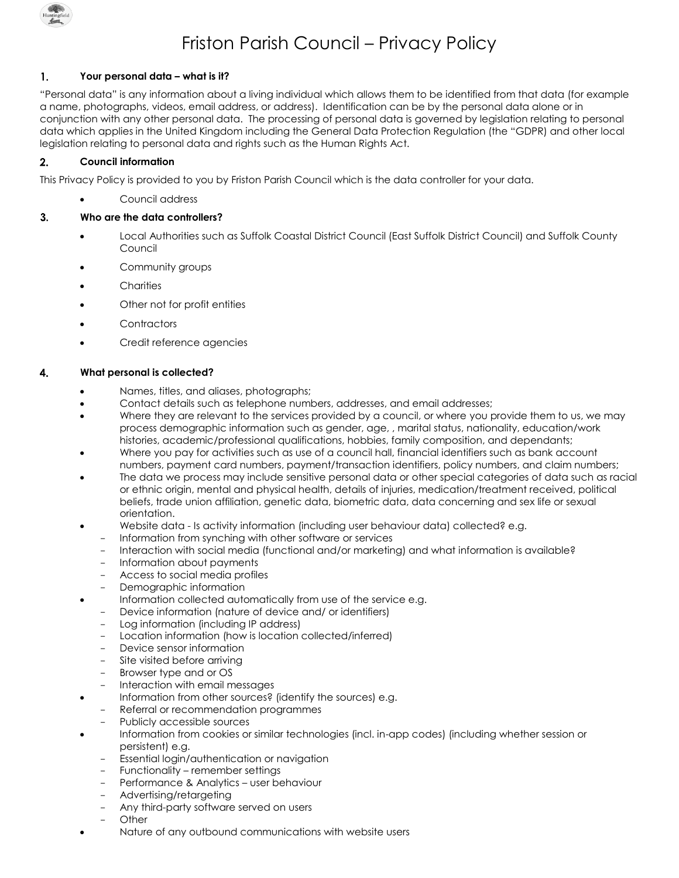

# Friston Parish Council – Privacy Policy

# $\mathbf{1}$ . **Your personal data – what is it?**

"Personal data" is any information about a living individual which allows them to be identified from that data (for example a name, photographs, videos, email address, or address). Identification can be by the personal data alone or in conjunction with any other personal data. The processing of personal data is governed by legislation relating to personal data which applies in the United Kingdom including the General Data Protection Regulation (the "GDPR) and other local legislation relating to personal data and rights such as the Human Rights Act.

# $2.$ **Council information**

This Privacy Policy is provided to you by Friston Parish Council which is the data controller for your data.

Council address

### $3<sub>1</sub>$ **Who are the data controllers?**

- Local Authorities such as Suffolk Coastal District Council (East Suffolk District Council) and Suffolk County Council
- Community groups
- **Charities**
- Other not for profit entities
- **Contractors**
- Credit reference agencies

# 4. **What personal is collected?**

- Names, titles, and aliases, photographs;
- Contact details such as telephone numbers, addresses, and email addresses;
- Where they are relevant to the services provided by a council, or where you provide them to us, we may process demographic information such as gender, age, , marital status, nationality, education/work histories, academic/professional qualifications, hobbies, family composition, and dependants;
- Where you pay for activities such as use of a council hall, financial identifiers such as bank account numbers, payment card numbers, payment/transaction identifiers, policy numbers, and claim numbers;
- The data we process may include sensitive personal data or other special categories of data such as racial or ethnic origin, mental and physical health, details of injuries, medication/treatment received, political beliefs, trade union affiliation, genetic data, biometric data, data concerning and sex life or sexual orientation.
- Website data Is activity information (including user behaviour data) collected? e.g.
	- Information from synching with other software or services
	- Interaction with social media (functional and/or marketing) and what information is available?
	- Information about payments
	- Access to social media profiles
	- Demographic information
	- Information collected automatically from use of the service e.g.
	- Device information (nature of device and/ or identifiers)
	- Log information (including IP address)
	- Location information (how is location collected/inferred)
	- Device sensor information
	- Site visited before arrivina
	- Browser type and or OS
	- Interaction with email messages
- Information from other sources? (identify the sources) e.g.
- Referral or recommendation programmes
- Publicly accessible sources
- Information from cookies or similar technologies (incl. in-app codes) (including whether session or persistent) e.g.
	- Essential login/authentication or navigation
	- Functionality remember settings
	- Performance & Analytics user behaviour
	- Advertising/retargeting
	- Any third-party software served on users
	- **Other**
- Nature of any outbound communications with website users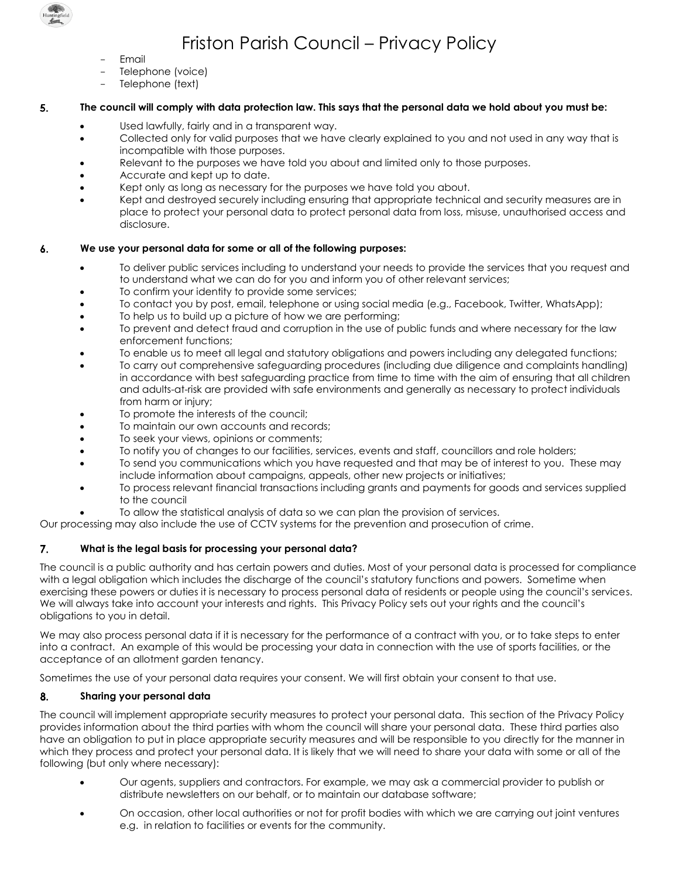

# Friston Parish Council – Privacy Policy

- **Fmail**
- Telephone (voice)
- Telephone (text)

### 5. **The council will comply with data protection law. This says that the personal data we hold about you must be:**

- Used lawfully, fairly and in a transparent way.
- Collected only for valid purposes that we have clearly explained to you and not used in any way that is incompatible with those purposes.
- Relevant to the purposes we have told you about and limited only to those purposes.
- Accurate and kept up to date.
- Kept only as long as necessary for the purposes we have told you about.
- Kept and destroyed securely including ensuring that appropriate technical and security measures are in place to protect your personal data to protect personal data from loss, misuse, unauthorised access and disclosure.

#### **We use your personal data for some or all of the following purposes:** 6.

- To deliver public services including to understand your needs to provide the services that you request and to understand what we can do for you and inform you of other relevant services;
- To confirm your identity to provide some services;
- To contact you by post, email, telephone or using social media (e.g., Facebook, Twitter, WhatsApp);
- To help us to build up a picture of how we are performing;
- To prevent and detect fraud and corruption in the use of public funds and where necessary for the law enforcement functions;
- To enable us to meet all legal and statutory obligations and powers including any delegated functions;
- To carry out comprehensive safeguarding procedures (including due diligence and complaints handling) in accordance with best safeguarding practice from time to time with the aim of ensuring that all children and adults-at-risk are provided with safe environments and generally as necessary to protect individuals from harm or injury;
- To promote the interests of the council;
- To maintain our own accounts and records;
- To seek your views, opinions or comments;
- To notify you of changes to our facilities, services, events and staff, councillors and role holders;
- To send you communications which you have requested and that may be of interest to you. These may include information about campaigns, appeals, other new projects or initiatives;
- To process relevant financial transactions including grants and payments for goods and services supplied to the council
- To allow the statistical analysis of data so we can plan the provision of services.

Our processing may also include the use of CCTV systems for the prevention and prosecution of crime.

# $7.$ **What is the legal basis for processing your personal data?**

The council is a public authority and has certain powers and duties. Most of your personal data is processed for compliance with a legal obligation which includes the discharge of the council's statutory functions and powers. Sometime when exercising these powers or duties it is necessary to process personal data of residents or people using the council's services. We will always take into account your interests and rights. This Privacy Policy sets out your rights and the council's obligations to you in detail.

We may also process personal data if it is necessary for the performance of a contract with you, or to take steps to enter into a contract. An example of this would be processing your data in connection with the use of sports facilities, or the acceptance of an allotment garden tenancy.

Sometimes the use of your personal data requires your consent. We will first obtain your consent to that use.

# 8. **Sharing your personal data**

The council will implement appropriate security measures to protect your personal data. This section of the Privacy Policy provides information about the third parties with whom the council will share your personal data. These third parties also have an obligation to put in place appropriate security measures and will be responsible to you directly for the manner in which they process and protect your personal data. It is likely that we will need to share your data with some or all of the following (but only where necessary):

- Our agents, suppliers and contractors. For example, we may ask a commercial provider to publish or distribute newsletters on our behalf, or to maintain our database software;
- On occasion, other local authorities or not for profit bodies with which we are carrying out joint ventures e.g. in relation to facilities or events for the community.